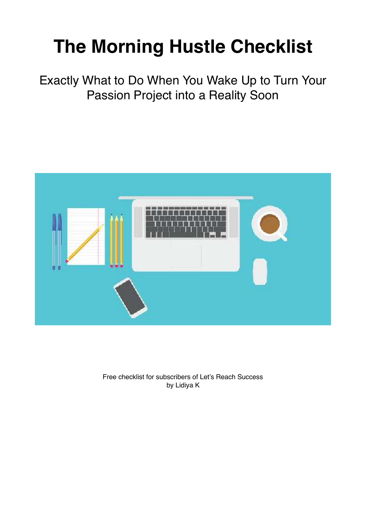# **The Morning Hustle Checklist**

Exactly What to Do When You Wake Up to Turn Your Passion Project into a Reality Soon



Free checklist for subscribers of Let's Reach Success by Lidiya K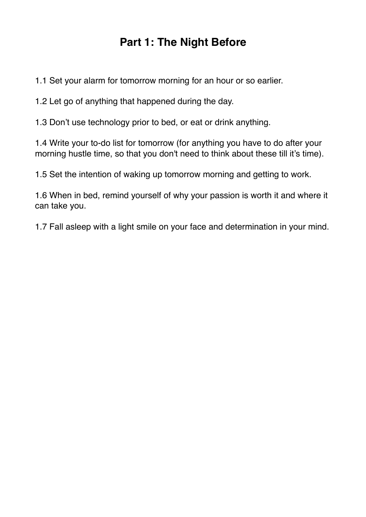# **Part 1: The Night Before**

1.1 Set your alarm for tomorrow morning for an hour or so earlier.

1.2 Let go of anything that happened during the day.

1.3 Don't use technology prior to bed, or eat or drink anything.

1.4 Write your to-do list for tomorrow (for anything you have to do after your morning hustle time, so that you don't need to think about these till it's time).

1.5 Set the intention of waking up tomorrow morning and getting to work.

1.6 When in bed, remind yourself of why your passion is worth it and where it can take you.

1.7 Fall asleep with a light smile on your face and determination in your mind.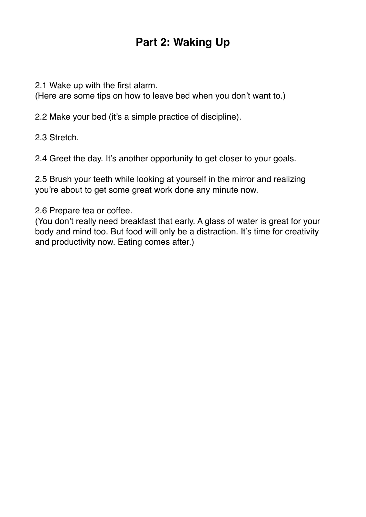# **Part 2: Waking Up**

2.1 Wake up with the first alarm.

[\(Here are some tips](https://letsreachsuccess.com/2015/02/18/get-out-of-bed-early-morning/) on how to leave bed when you don't want to.)

2.2 Make your bed (it's a simple practice of discipline).

2.3 Stretch.

2.4 Greet the day. It's another opportunity to get closer to your goals.

2.5 Brush your teeth while looking at yourself in the mirror and realizing you're about to get some great work done any minute now.

2.6 Prepare tea or coffee.

(You don't really need breakfast that early. A glass of water is great for your body and mind too. But food will only be a distraction. It's time for creativity and productivity now. Eating comes after.)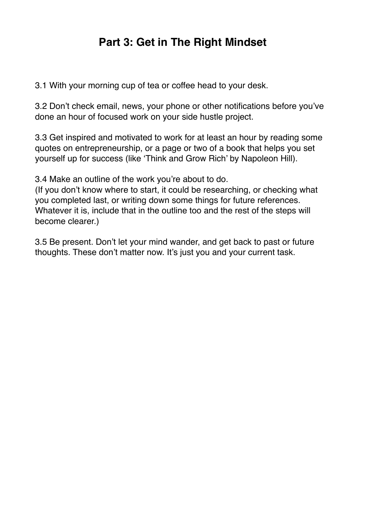### **Part 3: Get in The Right Mindset**

3.1 With your morning cup of tea or coffee head to your desk.

3.2 Don't check email, news, your phone or other notifications before you've done an hour of focused work on your side hustle project.

3.3 Get inspired and motivated to work for at least an hour by reading some quotes on entrepreneurship, or a page or two of a book that helps you set yourself up for success (like 'Think and Grow Rich' by Napoleon Hill).

3.4 Make an outline of the work you're about to do.

(If you don't know where to start, it could be researching, or checking what you completed last, or writing down some things for future references. Whatever it is, include that in the outline too and the rest of the steps will become clearer.)

3.5 Be present. Don't let your mind wander, and get back to past or future thoughts. These don't matter now. It's just you and your current task.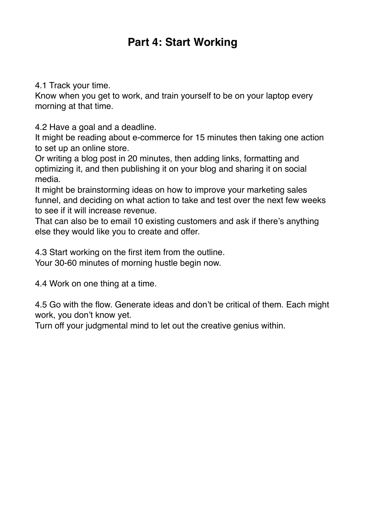### **Part 4: Start Working**

4.1 Track your time.

Know when you get to work, and train yourself to be on your laptop every morning at that time.

4.2 Have a goal and a deadline.

It might be reading about e-commerce for 15 minutes then taking one action to set up an online store.

Or writing a blog post in 20 minutes, then adding links, formatting and optimizing it, and then publishing it on your blog and sharing it on social media.

It might be brainstorming ideas on how to improve your marketing sales funnel, and deciding on what action to take and test over the next few weeks to see if it will increase revenue.

That can also be to email 10 existing customers and ask if there's anything else they would like you to create and offer.

4.3 Start working on the first item from the outline. Your 30-60 minutes of morning hustle begin now.

4.4 Work on one thing at a time.

4.5 Go with the flow. Generate ideas and don't be critical of them. Each might work, you don't know yet.

Turn off your judgmental mind to let out the creative genius within.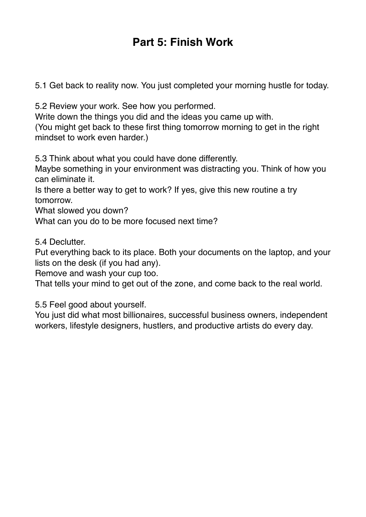# **Part 5: Finish Work**

5.1 Get back to reality now. You just completed your morning hustle for today.

5.2 Review your work. See how you performed.

Write down the things you did and the ideas you came up with.

(You might get back to these first thing tomorrow morning to get in the right mindset to work even harder.)

5.3 Think about what you could have done differently.

Maybe something in your environment was distracting you. Think of how you can eliminate it.

Is there a better way to get to work? If yes, give this new routine a try tomorrow.

What slowed you down?

What can you do to be more focused next time?

5.4 Declutter.

Put everything back to its place. Both your documents on the laptop, and your lists on the desk (if you had any).

Remove and wash your cup too.

That tells your mind to get out of the zone, and come back to the real world.

5.5 Feel good about yourself.

You just did what most billionaires, successful business owners, independent workers, lifestyle designers, hustlers, and productive artists do every day.